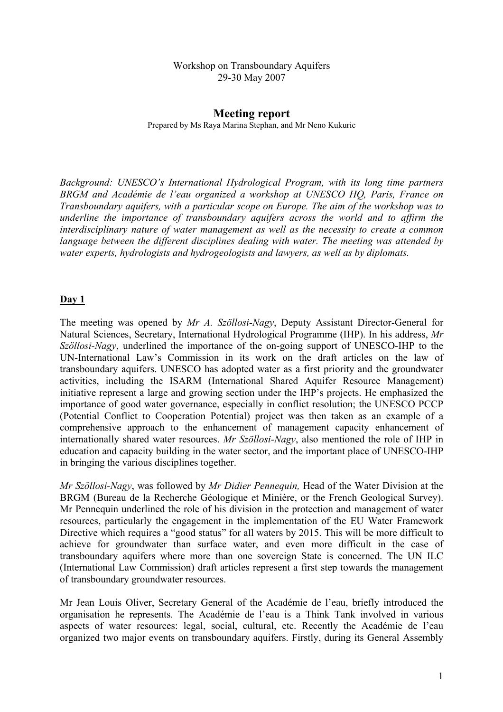#### Workshop on Transboundary Aquifers 29-30 May 2007

### **Meeting report**  Prepared by Ms Raya Marina Stephan, and Mr Neno Kukuric

*Background: UNESCO's International Hydrological Program, with its long time partners BRGM and Académie de l'eau organized a workshop at UNESCO HQ, Paris, France on Transboundary aquifers, with a particular scope on Europe. The aim of the workshop was to underline the importance of transboundary aquifers across the world and to affirm the interdisciplinary nature of water management as well as the necessity to create a common language between the different disciplines dealing with water. The meeting was attended by water experts, hydrologists and hydrogeologists and lawyers, as well as by diplomats.* 

### **Day 1**

The meeting was opened by *Mr A. Szöllosi-Nagy*, Deputy Assistant Director-General for Natural Sciences, Secretary, International Hydrological Programme (IHP). In his address, *Mr Szöllosi-Nagy*, underlined the importance of the on-going support of UNESCO-IHP to the UN-International Law's Commission in its work on the draft articles on the law of transboundary aquifers. UNESCO has adopted water as a first priority and the groundwater activities, including the ISARM (International Shared Aquifer Resource Management) initiative represent a large and growing section under the IHP's projects. He emphasized the importance of good water governance, especially in conflict resolution; the UNESCO PCCP (Potential Conflict to Cooperation Potential) project was then taken as an example of a comprehensive approach to the enhancement of management capacity enhancement of internationally shared water resources. *Mr Szöllosi-Nagy*, also mentioned the role of IHP in education and capacity building in the water sector, and the important place of UNESCO-IHP in bringing the various disciplines together.

*Mr Szöllosi-Nagy*, was followed by *Mr Didier Pennequin,* Head of the Water Division at the BRGM (Bureau de la Recherche Géologique et Minière, or the French Geological Survey). Mr Pennequin underlined the role of his division in the protection and management of water resources, particularly the engagement in the implementation of the EU Water Framework Directive which requires a "good status" for all waters by 2015. This will be more difficult to achieve for groundwater than surface water, and even more difficult in the case of transboundary aquifers where more than one sovereign State is concerned. The UN ILC (International Law Commission) draft articles represent a first step towards the management of transboundary groundwater resources.

Mr Jean Louis Oliver, Secretary General of the Académie de l'eau, briefly introduced the organisation he represents. The Académie de l'eau is a Think Tank involved in various aspects of water resources: legal, social, cultural, etc. Recently the Académie de l'eau organized two major events on transboundary aquifers. Firstly, during its General Assembly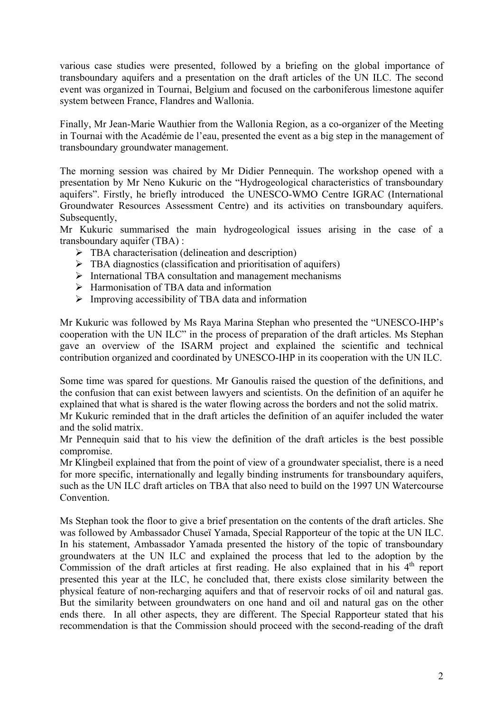various case studies were presented, followed by a briefing on the global importance of transboundary aquifers and a presentation on the draft articles of the UN ILC. The second event was organized in Tournai, Belgium and focused on the carboniferous limestone aquifer system between France, Flandres and Wallonia.

Finally, Mr Jean-Marie Wauthier from the Wallonia Region, as a co-organizer of the Meeting in Tournai with the Académie de l'eau, presented the event as a big step in the management of transboundary groundwater management.

The morning session was chaired by Mr Didier Pennequin. The workshop opened with a presentation by Mr Neno Kukuric on the "Hydrogeological characteristics of transboundary aquifers". Firstly, he briefly introduced the UNESCO-WMO Centre IGRAC (International Groundwater Resources Assessment Centre) and its activities on transboundary aquifers. Subsequently,

Mr Kukuric summarised the main hydrogeological issues arising in the case of a transboundary aquifer (TBA) :

- $\triangleright$  TBA characterisation (delineation and description)
- $\triangleright$  TBA diagnostics (classification and prioritisation of aquifers)
- $\triangleright$  International TBA consultation and management mechanisms
- $\triangleright$  Harmonisation of TBA data and information
- $\triangleright$  Improving accessibility of TBA data and information

Mr Kukuric was followed by Ms Raya Marina Stephan who presented the "UNESCO-IHP's cooperation with the UN ILC" in the process of preparation of the draft articles. Ms Stephan gave an overview of the ISARM project and explained the scientific and technical contribution organized and coordinated by UNESCO-IHP in its cooperation with the UN ILC.

Some time was spared for questions. Mr Ganoulis raised the question of the definitions, and the confusion that can exist between lawyers and scientists. On the definition of an aquifer he explained that what is shared is the water flowing across the borders and not the solid matrix.

Mr Kukuric reminded that in the draft articles the definition of an aquifer included the water and the solid matrix.

Mr Pennequin said that to his view the definition of the draft articles is the best possible compromise.

Mr Klingbeil explained that from the point of view of a groundwater specialist, there is a need for more specific, internationally and legally binding instruments for transboundary aquifers, such as the UN ILC draft articles on TBA that also need to build on the 1997 UN Watercourse Convention.

Ms Stephan took the floor to give a brief presentation on the contents of the draft articles. She was followed by Ambassador Chuseï Yamada, Special Rapporteur of the topic at the UN ILC. In his statement, Ambassador Yamada presented the history of the topic of transboundary groundwaters at the UN ILC and explained the process that led to the adoption by the Commission of the draft articles at first reading. He also explained that in his  $4<sup>th</sup>$  report presented this year at the ILC, he concluded that, there exists close similarity between the physical feature of non-recharging aquifers and that of reservoir rocks of oil and natural gas. But the similarity between groundwaters on one hand and oil and natural gas on the other ends there. In all other aspects, they are different. The Special Rapporteur stated that his recommendation is that the Commission should proceed with the second-reading of the draft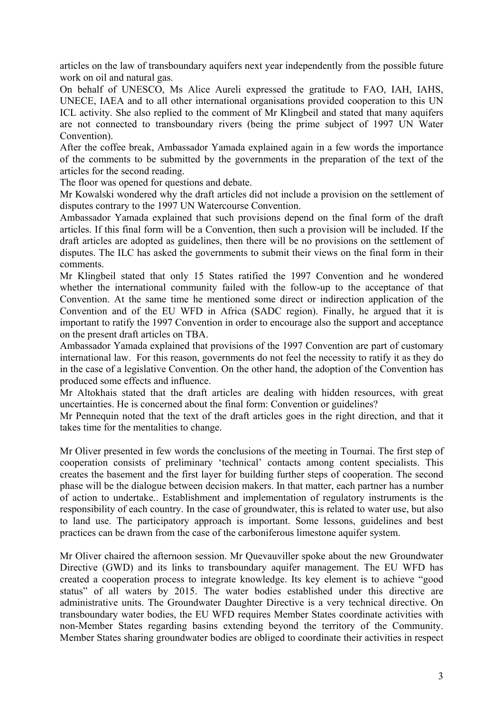articles on the law of transboundary aquifers next year independently from the possible future work on oil and natural gas.

On behalf of UNESCO, Ms Alice Aureli expressed the gratitude to FAO, IAH, IAHS, UNECE, IAEA and to all other international organisations provided cooperation to this UN ICL activity. She also replied to the comment of Mr Klingbeil and stated that many aquifers are not connected to transboundary rivers (being the prime subject of 1997 UN Water Convention).

After the coffee break, Ambassador Yamada explained again in a few words the importance of the comments to be submitted by the governments in the preparation of the text of the articles for the second reading.

The floor was opened for questions and debate.

Mr Kowalski wondered why the draft articles did not include a provision on the settlement of disputes contrary to the 1997 UN Watercourse Convention.

Ambassador Yamada explained that such provisions depend on the final form of the draft articles. If this final form will be a Convention, then such a provision will be included. If the draft articles are adopted as guidelines, then there will be no provisions on the settlement of disputes. The ILC has asked the governments to submit their views on the final form in their comments.

Mr Klingbeil stated that only 15 States ratified the 1997 Convention and he wondered whether the international community failed with the follow-up to the acceptance of that Convention. At the same time he mentioned some direct or indirection application of the Convention and of the EU WFD in Africa (SADC region). Finally, he argued that it is important to ratify the 1997 Convention in order to encourage also the support and acceptance on the present draft articles on TBA.

Ambassador Yamada explained that provisions of the 1997 Convention are part of customary international law. For this reason, governments do not feel the necessity to ratify it as they do in the case of a legislative Convention. On the other hand, the adoption of the Convention has produced some effects and influence.

Mr Altokhais stated that the draft articles are dealing with hidden resources, with great uncertainties. He is concerned about the final form: Convention or guidelines?

Mr Pennequin noted that the text of the draft articles goes in the right direction, and that it takes time for the mentalities to change.

Mr Oliver presented in few words the conclusions of the meeting in Tournai. The first step of cooperation consists of preliminary 'technical' contacts among content specialists. This creates the basement and the first layer for building further steps of cooperation. The second phase will be the dialogue between decision makers. In that matter, each partner has a number of action to undertake.. Establishment and implementation of regulatory instruments is the responsibility of each country. In the case of groundwater, this is related to water use, but also to land use. The participatory approach is important. Some lessons, guidelines and best practices can be drawn from the case of the carboniferous limestone aquifer system.

Mr Oliver chaired the afternoon session. Mr Quevauviller spoke about the new Groundwater Directive (GWD) and its links to transboundary aquifer management. The EU WFD has created a cooperation process to integrate knowledge. Its key element is to achieve "good status" of all waters by 2015. The water bodies established under this directive are administrative units. The Groundwater Daughter Directive is a very technical directive. On transboundary water bodies, the EU WFD requires Member States coordinate activities with non-Member States regarding basins extending beyond the territory of the Community. Member States sharing groundwater bodies are obliged to coordinate their activities in respect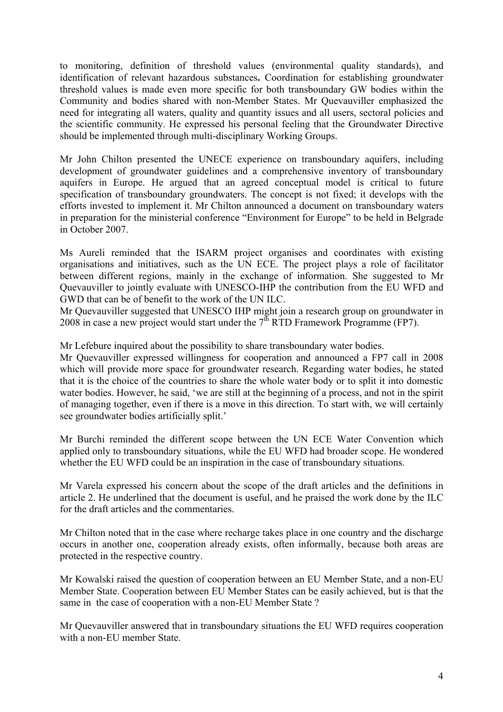to monitoring, definition of threshold values (environmental quality standards), and identification of relevant hazardous substances**.** Coordination for establishing groundwater threshold values is made even more specific for both transboundary GW bodies within the Community and bodies shared with non-Member States. Mr Quevauviller emphasized the need for integrating all waters, quality and quantity issues and all users, sectoral policies and the scientific community. He expressed his personal feeling that the Groundwater Directive should be implemented through multi-disciplinary Working Groups.

Mr John Chilton presented the UNECE experience on transboundary aquifers, including development of groundwater guidelines and a comprehensive inventory of transboundary aquifers in Europe. He argued that an agreed conceptual model is critical to future specification of transboundary groundwaters. The concept is not fixed; it develops with the efforts invested to implement it. Mr Chilton announced a document on transboundary waters in preparation for the ministerial conference "Environment for Europe" to be held in Belgrade in October 2007.

Ms Aureli reminded that the ISARM project organises and coordinates with existing organisations and initiatives, such as the UN ECE. The project plays a role of facilitator between different regions, mainly in the exchange of information. She suggested to Mr Quevauviller to jointly evaluate with UNESCO-IHP the contribution from the EU WFD and GWD that can be of benefit to the work of the UN ILC.

Mr Quevauviller suggested that UNESCO IHP might join a research group on groundwater in 2008 in case a new project would start under the  $7<sup>th</sup>$  RTD Framework Programme (FP7).

Mr Lefebure inquired about the possibility to share transboundary water bodies.

Mr Quevauviller expressed willingness for cooperation and announced a FP7 call in 2008 which will provide more space for groundwater research. Regarding water bodies, he stated that it is the choice of the countries to share the whole water body or to split it into domestic water bodies. However, he said, 'we are still at the beginning of a process, and not in the spirit of managing together, even if there is a move in this direction. To start with, we will certainly see groundwater bodies artificially split.'

Mr Burchi reminded the different scope between the UN ECE Water Convention which applied only to transboundary situations, while the EU WFD had broader scope. He wondered whether the EU WFD could be an inspiration in the case of transboundary situations.

Mr Varela expressed his concern about the scope of the draft articles and the definitions in article 2. He underlined that the document is useful, and he praised the work done by the ILC for the draft articles and the commentaries.

Mr Chilton noted that in the case where recharge takes place in one country and the discharge occurs in another one, cooperation already exists, often informally, because both areas are protected in the respective country.

Mr Kowalski raised the question of cooperation between an EU Member State, and a non-EU Member State. Cooperation between EU Member States can be easily achieved, but is that the same in the case of cooperation with a non-EU Member State ?

Mr Quevauviller answered that in transboundary situations the EU WFD requires cooperation with a non-EU member State.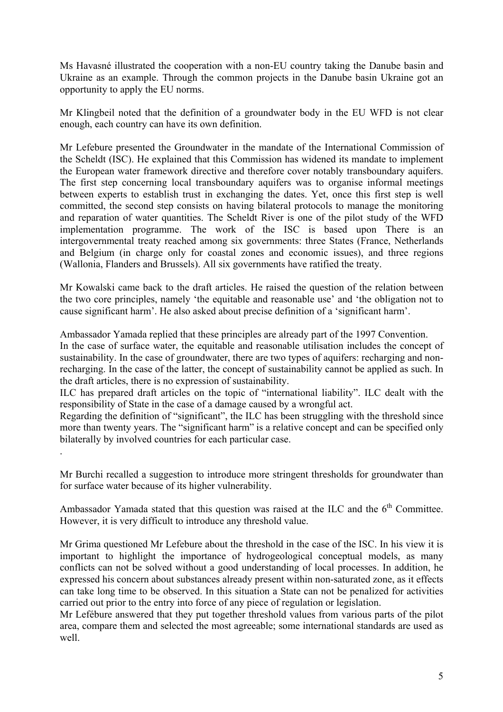Ms Havasné illustrated the cooperation with a non-EU country taking the Danube basin and Ukraine as an example. Through the common projects in the Danube basin Ukraine got an opportunity to apply the EU norms.

Mr Klingbeil noted that the definition of a groundwater body in the EU WFD is not clear enough, each country can have its own definition.

Mr Lefebure presented the Groundwater in the mandate of the International Commission of the Scheldt (ISC). He explained that this Commission has widened its mandate to implement the European water framework directive and therefore cover notably transboundary aquifers. The first step concerning local transboundary aquifers was to organise informal meetings between experts to establish trust in exchanging the dates. Yet, once this first step is well committed, the second step consists on having bilateral protocols to manage the monitoring and reparation of water quantities. The Scheldt River is one of the pilot study of the WFD implementation programme. The work of the ISC is based upon There is an intergovernmental treaty reached among six governments: three States (France, Netherlands and Belgium (in charge only for coastal zones and economic issues), and three regions (Wallonia, Flanders and Brussels). All six governments have ratified the treaty.

Mr Kowalski came back to the draft articles. He raised the question of the relation between the two core principles, namely 'the equitable and reasonable use' and 'the obligation not to cause significant harm'. He also asked about precise definition of a 'significant harm'.

Ambassador Yamada replied that these principles are already part of the 1997 Convention.

In the case of surface water, the equitable and reasonable utilisation includes the concept of sustainability. In the case of groundwater, there are two types of aquifers: recharging and nonrecharging. In the case of the latter, the concept of sustainability cannot be applied as such. In the draft articles, there is no expression of sustainability.

ILC has prepared draft articles on the topic of "international liability". ILC dealt with the responsibility of State in the case of a damage caused by a wrongful act.

Regarding the definition of "significant", the ILC has been struggling with the threshold since more than twenty years. The "significant harm" is a relative concept and can be specified only bilaterally by involved countries for each particular case.

.

Mr Burchi recalled a suggestion to introduce more stringent thresholds for groundwater than for surface water because of its higher vulnerability.

Ambassador Yamada stated that this question was raised at the ILC and the  $6<sup>th</sup>$  Committee. However, it is very difficult to introduce any threshold value.

Mr Grima questioned Mr Lefebure about the threshold in the case of the ISC. In his view it is important to highlight the importance of hydrogeological conceptual models, as many conflicts can not be solved without a good understanding of local processes. In addition, he expressed his concern about substances already present within non-saturated zone, as it effects can take long time to be observed. In this situation a State can not be penalized for activities carried out prior to the entry into force of any piece of regulation or legislation.

Mr Lefébure answered that they put together threshold values from various parts of the pilot area, compare them and selected the most agreeable; some international standards are used as well.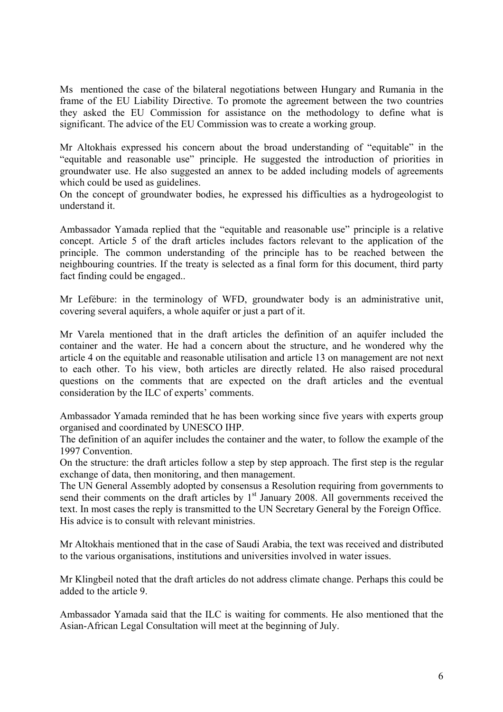Ms mentioned the case of the bilateral negotiations between Hungary and Rumania in the frame of the EU Liability Directive. To promote the agreement between the two countries they asked the EU Commission for assistance on the methodology to define what is significant. The advice of the EU Commission was to create a working group.

Mr Altokhais expressed his concern about the broad understanding of "equitable" in the "equitable and reasonable use" principle. He suggested the introduction of priorities in groundwater use. He also suggested an annex to be added including models of agreements which could be used as guidelines.

On the concept of groundwater bodies, he expressed his difficulties as a hydrogeologist to understand it.

Ambassador Yamada replied that the "equitable and reasonable use" principle is a relative concept. Article 5 of the draft articles includes factors relevant to the application of the principle. The common understanding of the principle has to be reached between the neighbouring countries. If the treaty is selected as a final form for this document, third party fact finding could be engaged..

Mr Lefébure: in the terminology of WFD, groundwater body is an administrative unit, covering several aquifers, a whole aquifer or just a part of it.

Mr Varela mentioned that in the draft articles the definition of an aquifer included the container and the water. He had a concern about the structure, and he wondered why the article 4 on the equitable and reasonable utilisation and article 13 on management are not next to each other. To his view, both articles are directly related. He also raised procedural questions on the comments that are expected on the draft articles and the eventual consideration by the ILC of experts' comments.

Ambassador Yamada reminded that he has been working since five years with experts group organised and coordinated by UNESCO IHP.

The definition of an aquifer includes the container and the water, to follow the example of the 1997 Convention.

On the structure: the draft articles follow a step by step approach. The first step is the regular exchange of data, then monitoring, and then management.

The UN General Assembly adopted by consensus a Resolution requiring from governments to send their comments on the draft articles by  $1<sup>st</sup>$  January 2008. All governments received the text. In most cases the reply is transmitted to the UN Secretary General by the Foreign Office. His advice is to consult with relevant ministries.

Mr Altokhais mentioned that in the case of Saudi Arabia, the text was received and distributed to the various organisations, institutions and universities involved in water issues.

Mr Klingbeil noted that the draft articles do not address climate change. Perhaps this could be added to the article 9.

Ambassador Yamada said that the ILC is waiting for comments. He also mentioned that the Asian-African Legal Consultation will meet at the beginning of July.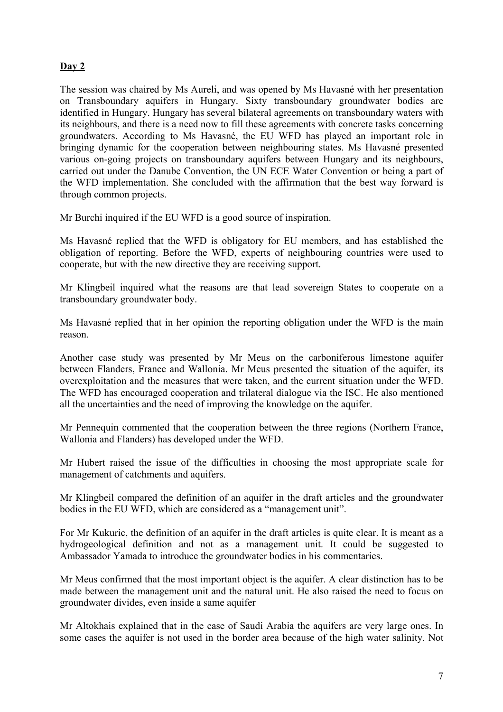### **Day 2**

The session was chaired by Ms Aureli, and was opened by Ms Havasné with her presentation on Transboundary aquifers in Hungary. Sixty transboundary groundwater bodies are identified in Hungary. Hungary has several bilateral agreements on transboundary waters with its neighbours, and there is a need now to fill these agreements with concrete tasks concerning groundwaters. According to Ms Havasné, the EU WFD has played an important role in bringing dynamic for the cooperation between neighbouring states. Ms Havasné presented various on-going projects on transboundary aquifers between Hungary and its neighbours, carried out under the Danube Convention, the UN ECE Water Convention or being a part of the WFD implementation. She concluded with the affirmation that the best way forward is through common projects.

Mr Burchi inquired if the EU WFD is a good source of inspiration.

Ms Havasné replied that the WFD is obligatory for EU members, and has established the obligation of reporting. Before the WFD, experts of neighbouring countries were used to cooperate, but with the new directive they are receiving support.

Mr Klingbeil inquired what the reasons are that lead sovereign States to cooperate on a transboundary groundwater body.

Ms Havasné replied that in her opinion the reporting obligation under the WFD is the main reason.

Another case study was presented by Mr Meus on the carboniferous limestone aquifer between Flanders, France and Wallonia. Mr Meus presented the situation of the aquifer, its overexploitation and the measures that were taken, and the current situation under the WFD. The WFD has encouraged cooperation and trilateral dialogue via the ISC. He also mentioned all the uncertainties and the need of improving the knowledge on the aquifer.

Mr Pennequin commented that the cooperation between the three regions (Northern France, Wallonia and Flanders) has developed under the WFD.

Mr Hubert raised the issue of the difficulties in choosing the most appropriate scale for management of catchments and aquifers.

Mr Klingbeil compared the definition of an aquifer in the draft articles and the groundwater bodies in the EU WFD, which are considered as a "management unit".

For Mr Kukuric, the definition of an aquifer in the draft articles is quite clear. It is meant as a hydrogeological definition and not as a management unit. It could be suggested to Ambassador Yamada to introduce the groundwater bodies in his commentaries.

Mr Meus confirmed that the most important object is the aquifer. A clear distinction has to be made between the management unit and the natural unit. He also raised the need to focus on groundwater divides, even inside a same aquifer

Mr Altokhais explained that in the case of Saudi Arabia the aquifers are very large ones. In some cases the aquifer is not used in the border area because of the high water salinity. Not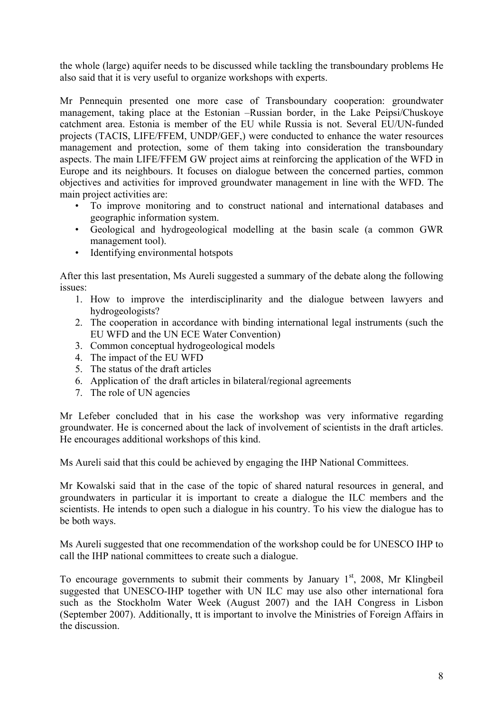the whole (large) aquifer needs to be discussed while tackling the transboundary problems He also said that it is very useful to organize workshops with experts.

Mr Pennequin presented one more case of Transboundary cooperation: groundwater management, taking place at the Estonian –Russian border, in the Lake Peipsi/Chuskoye catchment area. Estonia is member of the EU while Russia is not. Several EU/UN-funded projects (TACIS, LIFE/FFEM, UNDP/GEF,) were conducted to enhance the water resources management and protection, some of them taking into consideration the transboundary aspects. The main LIFE/FFEM GW project aims at reinforcing the application of the WFD in Europe and its neighbours. It focuses on dialogue between the concerned parties, common objectives and activities for improved groundwater management in line with the WFD. The main project activities are:

- To improve monitoring and to construct national and international databases and geographic information system.
- Geological and hydrogeological modelling at the basin scale (a common GWR management tool).
- Identifying environmental hotspots

After this last presentation, Ms Aureli suggested a summary of the debate along the following issues:

- 1. How to improve the interdisciplinarity and the dialogue between lawyers and hydrogeologists?
- 2. The cooperation in accordance with binding international legal instruments (such the EU WFD and the UN ECE Water Convention)
- 3. Common conceptual hydrogeological models
- 4. The impact of the EU WFD
- 5. The status of the draft articles
- 6. Application of the draft articles in bilateral/regional agreements
- 7. The role of UN agencies

Mr Lefeber concluded that in his case the workshop was very informative regarding groundwater. He is concerned about the lack of involvement of scientists in the draft articles. He encourages additional workshops of this kind.

Ms Aureli said that this could be achieved by engaging the IHP National Committees.

Mr Kowalski said that in the case of the topic of shared natural resources in general, and groundwaters in particular it is important to create a dialogue the ILC members and the scientists. He intends to open such a dialogue in his country. To his view the dialogue has to be both ways.

Ms Aureli suggested that one recommendation of the workshop could be for UNESCO IHP to call the IHP national committees to create such a dialogue.

To encourage governments to submit their comments by January  $1<sup>st</sup>$ , 2008, Mr Klingbeil suggested that UNESCO-IHP together with UN ILC may use also other international fora such as the Stockholm Water Week (August 2007) and the IAH Congress in Lisbon (September 2007). Additionally, tt is important to involve the Ministries of Foreign Affairs in the discussion.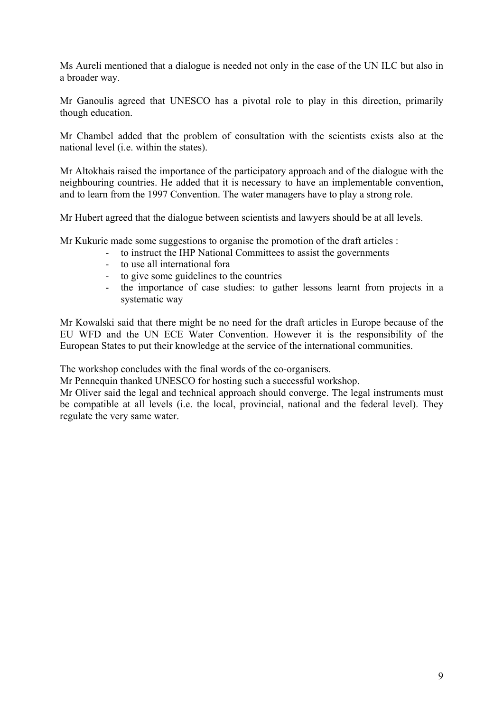Ms Aureli mentioned that a dialogue is needed not only in the case of the UN ILC but also in a broader way.

Mr Ganoulis agreed that UNESCO has a pivotal role to play in this direction, primarily though education.

Mr Chambel added that the problem of consultation with the scientists exists also at the national level (i.e. within the states).

Mr Altokhais raised the importance of the participatory approach and of the dialogue with the neighbouring countries. He added that it is necessary to have an implementable convention, and to learn from the 1997 Convention. The water managers have to play a strong role.

Mr Hubert agreed that the dialogue between scientists and lawyers should be at all levels.

Mr Kukuric made some suggestions to organise the promotion of the draft articles :

- to instruct the IHP National Committees to assist the governments
- to use all international fora
- to give some guidelines to the countries
- the importance of case studies: to gather lessons learnt from projects in a systematic way

Mr Kowalski said that there might be no need for the draft articles in Europe because of the EU WFD and the UN ECE Water Convention. However it is the responsibility of the European States to put their knowledge at the service of the international communities.

The workshop concludes with the final words of the co-organisers.

Mr Pennequin thanked UNESCO for hosting such a successful workshop.

Mr Oliver said the legal and technical approach should converge. The legal instruments must be compatible at all levels (i.e. the local, provincial, national and the federal level). They regulate the very same water.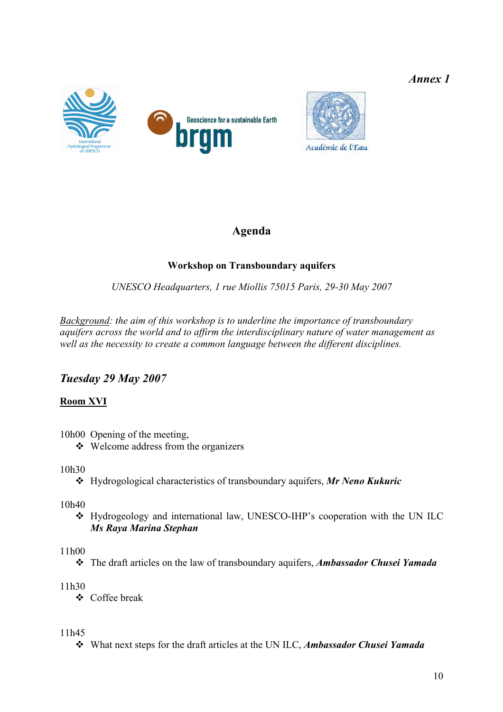*Annex 1* 





# **Agenda**

## **Workshop on Transboundary aquifers**

*UNESCO Headquarters, 1 rue Miollis 75015 Paris, 29-30 May 2007*

*Background: the aim of this workshop is to underline the importance of transboundary aquifers across the world and to affirm the interdisciplinary nature of water management as well as the necessity to create a common language between the different disciplines.* 

## *Tuesday 29 May 2007*

## **Room XVI**

- 10h00 Opening of the meeting,
	- $\triangleleft$  Welcome address from the organizers

## 10h30

Hydrogological characteristics of transboundary aquifers, *Mr Neno Kukuric*

10h40

 Hydrogeology and international law, UNESCO-IHP's cooperation with the UN ILC *Ms Raya Marina Stephan*

## 11h00

The draft articles on the law of transboundary aquifers, *Ambassador Chusei Yamada*

## 11h30

Coffee break

11h45

What next steps for the draft articles at the UN ILC, *Ambassador Chusei Yamada*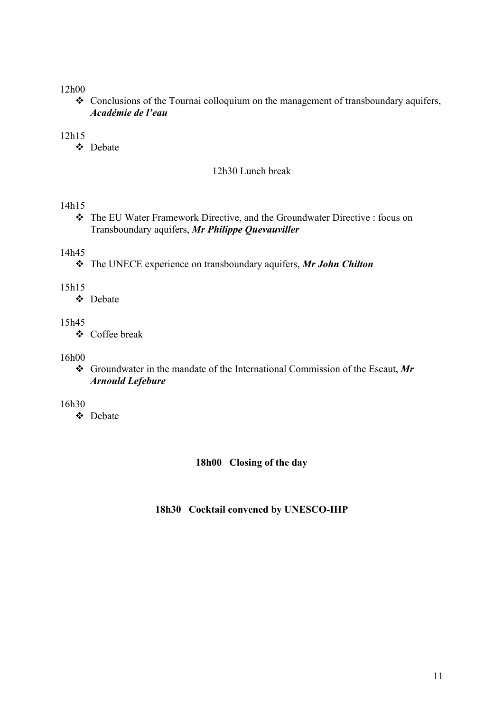### 12h00

 Conclusions of the Tournai colloquium on the management of transboundary aquifers, *Académie de l'eau*

### 12h15

Debate

#### 12h30 Lunch break

#### 14h15

 The EU Water Framework Directive, and the Groundwater Directive : focus on Transboundary aquifers, *Mr Philippe Quevauviller*

#### 14h45

The UNECE experience on transboundary aquifers, *Mr John Chilton* 

#### 15h15

Debate

### 15h45

Coffee break

#### 16h00

 Groundwater in the mandate of the International Commission of the Escaut, *Mr Arnould Lefebure*

#### 16h30

**☆** Debate

#### **18h00 Closing of the day**

### **18h30 Cocktail convened by UNESCO-IHP**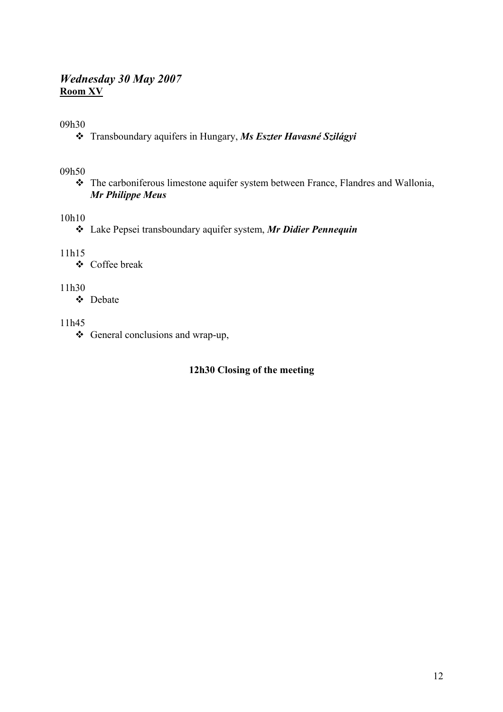### *Wednesday 30 May 2007*  **Room XV**

09h30

Transboundary aquifers in Hungary, *Ms Eszter Havasné Szilágyi*

09h50

 The carboniferous limestone aquifer system between France, Flandres and Wallonia, *Mr Philippe Meus* 

### 10h10

Lake Pepsei transboundary aquifer system, *Mr Didier Pennequin*

11h15

Coffee break

11h30

Debate

#### 11h45

General conclusions and wrap-up,

### **12h30 Closing of the meeting**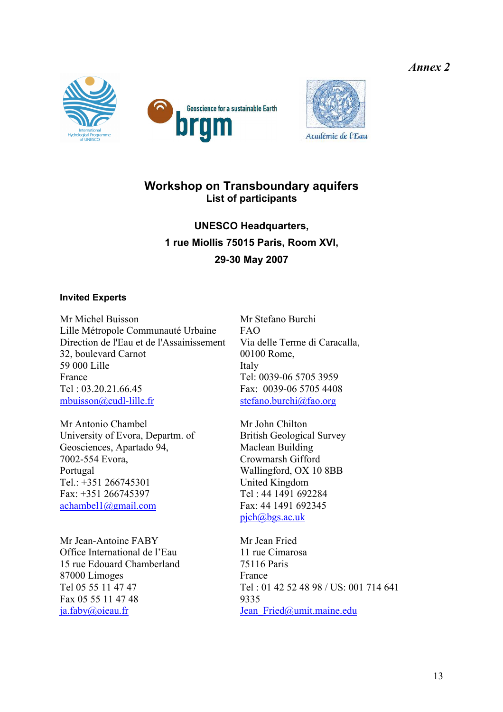*Annex 2* 







## **Workshop on Transboundary aquifers List of participants**

**UNESCO Headquarters, 1 rue Miollis 75015 Paris, Room XVI, 29-30 May 2007** 

#### **Invited Experts**

Mr Michel Buisson Lille Métropole Communauté Urbaine Direction de l'Eau et de l'Assainissement 32, boulevard Carnot 59 000 Lille France Tel : 03.20.21.66.45 mbuisson@cudl-lille.fr

Mr Antonio Chambel University of Evora, Departm. of Geosciences, Apartado 94, 7002-554 Evora, Portugal Tel.: +351 266745301 Fax: +351 266745397 achambel1@gmail.com

Mr Jean-Antoine FABY Office International de l'Eau 15 rue Edouard Chamberland 87000 Limoges Tel 05 55 11 47 47 Fax 05 55 11 47 48 ja.faby@oieau.fr

Mr Stefano Burchi  $FAO$ Via delle Terme di Caracalla, 00100 Rome, Italy Tel: 0039-06 5705 3959 Fax: 0039-06 5705 4408 stefano.burchi@fao.org

Mr John Chilton British Geological Survey Maclean Building Crowmarsh Gifford Wallingford, OX 10 8BB United Kingdom Tel : 44 1491 692284 Fax: 44 1491 692345 pjch@bgs.ac.uk

Mr Jean Fried 11 rue Cimarosa 75116 Paris France Tel : 01 42 52 48 98 / US: 001 714 641 9335 Jean\_Fried@umit.maine.edu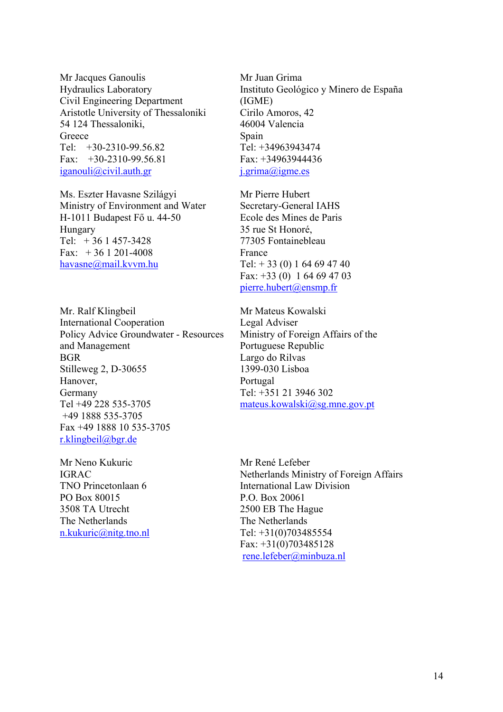Mr Jacques Ganoulis Hydraulics Laboratory Civil Engineering Department Aristotle University of Thessaloniki 54 124 Thessaloniki, **Greece** Tel: +30-2310-99.56.82 Fax:  $+30-2310-99.56.81$ iganouli@civil.auth.gr

Ms. Eszter Havasne Szilágyi Ministry of Environment and Water H-1011 Budapest Fő u. 44-50 Hungary Tel:  $+36$  1 457-3428 Fax:  $+36$  1 201-4008 havasne@mail.kvvm.hu

Mr. Ralf Klingbeil International Cooperation Policy Advice Groundwater - Resources and Management BGR Stilleweg 2, D-30655 Hanover, Germany Tel +49 228 535-3705 +49 1888 535-3705 Fax +49 1888 10 535-3705 r.klingbeil@bgr.de

Mr Neno Kukuric IGRAC TNO Princetonlaan 6 PO Box 80015 3508 TA Utrecht The Netherlands n.kukuric@nitg.tno.nl

Mr Juan Grima Instituto Geológico y Minero de España (IGME) Cirilo Amoros, 42 46004 Valencia Spain Tel: +34963943474 Fax: +34963944436 j.grima@igme.es

Mr Pierre Hubert Secretary-General IAHS Ecole des Mines de Paris 35 rue St Honoré, 77305 Fontainebleau France Tel:  $+ 33(0) 164694740$ Fax: +33 (0) 1 64 69 47 03 pierre.hubert@ensmp.fr

Mr Mateus Kowalski Legal Adviser Ministry of Foreign Affairs of the Portuguese Republic Largo do Rilvas 1399-030 Lisboa Portugal Tel: +351 21 3946 302 mateus.kowalski@sg.mne.gov.pt

Mr René Lefeber Netherlands Ministry of Foreign Affairs International Law Division P.O. Box 20061 2500 EB The Hague The Netherlands Tel: +31(0)703485554 Fax: +31(0)703485128 rene.lefeber@minbuza.nl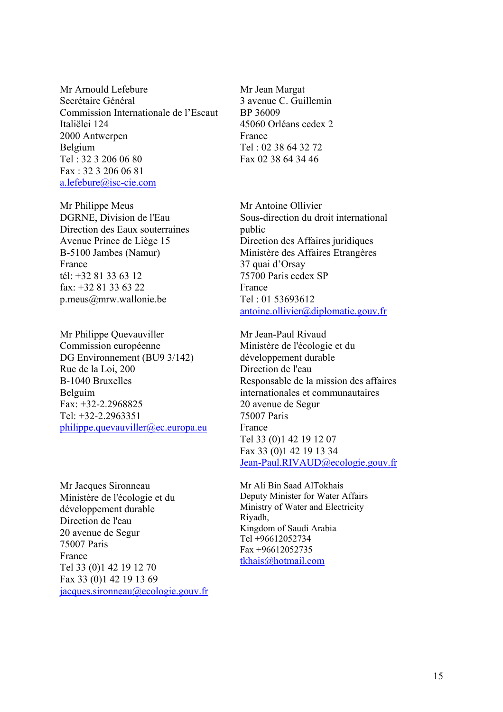Mr Arnould Lefebure Secrétaire Général Commission Internationale de l'Escaut Italiëlei 124 2000 Antwerpen Belgium Tel : 32 3 206 06 80 Fax : 32 3 206 06 81 a.lefebure@isc-cie.com

Mr Philippe Meus DGRNE, Division de l'Eau Direction des Eaux souterraines Avenue Prince de Liège 15 B-5100 Jambes (Namur) France tél: +32 81 33 63 12 fax:  $+3281336322$ p.meus@mrw.wallonie.be

Mr Philippe Quevauviller Commission européenne DG Environnement (BU9 3/142) Rue de la Loi, 200 B-1040 Bruxelles Belguim Fax: +32-2.2968825 Tel:  $+32-2.2963351$ philippe.quevauviller@ec.europa.eu

Mr Jacques Sironneau Ministère de l'écologie et du développement durable Direction de l'eau 20 avenue de Segur 75007 Paris France Tel 33 (0)1 42 19 12 70 Fax 33 (0)1 42 19 13 69 jacques.sironneau@ecologie.gouv.fr Mr Jean Margat 3 avenue C. Guillemin BP 36009 45060 Orléans cedex 2 France Tel : 02 38 64 32 72 Fax 02 38 64 34 46

Mr Antoine Ollivier Sous-direction du droit international public Direction des Affaires juridiques Ministère des Affaires Etrangères 37 quai d'Orsay 75700 Paris cedex SP France Tel : 01 53693612 antoine.ollivier@diplomatie.gouv.fr

Mr Jean-Paul Rivaud Ministère de l'écologie et du développement durable Direction de l'eau Responsable de la mission des affaires internationales et communautaires 20 avenue de Segur 75007 Paris France Tel 33 (0)1 42 19 12 07 Fax 33 (0)1 42 19 13 34 Jean-Paul.RIVAUD@ecologie.gouv.fr

Mr Ali Bin Saad AlTokhais Deputy Minister for Water Affairs Ministry of Water and Electricity Riyadh, Kingdom of Saudi Arabia Tel +96612052734 Fax +96612052735 tkhais@hotmail.com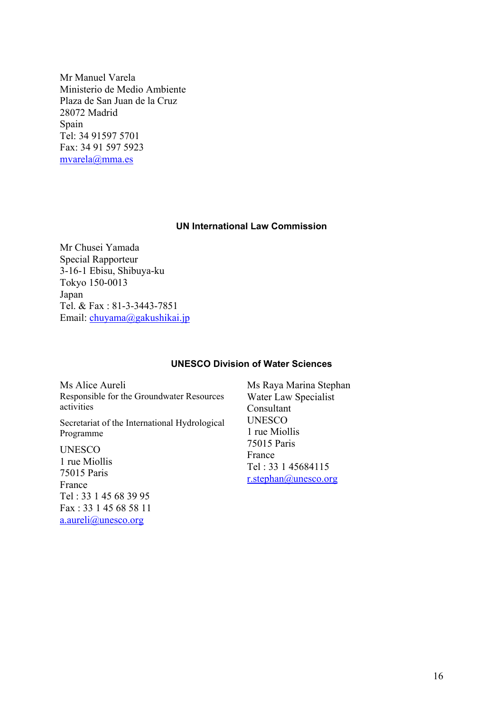Mr Manuel Varela Ministerio de Medio Ambiente Plaza de San Juan de la Cruz 28072 Madrid Spain Tel: 34 91597 5701 Fax: 34 91 597 5923 mvarela@mma.es

#### **UN International Law Commission**

Mr Chusei Yamada Special Rapporteur 3-16-1 Ebisu, Shibuya-ku Tokyo 150-0013 Japan Tel. & Fax : 81-3-3443-7851 Email: chuyama@gakushikai.jp

#### **UNESCO Division of Water Sciences**

Ms Alice Aureli Responsible for the Groundwater Resources activities Secretariat of the International Hydrological Programme UNESCO 1 rue Miollis 75015 Paris France

Tel : 33 1 45 68 39 95 Fax : 33 1 45 68 58 11 a.aureli@unesco.org

Ms Raya Marina Stephan Water Law Specialist Consultant UNESCO 1 rue Miollis 75015 Paris France Tel : 33 1 45684115 r.stephan@unesco.org